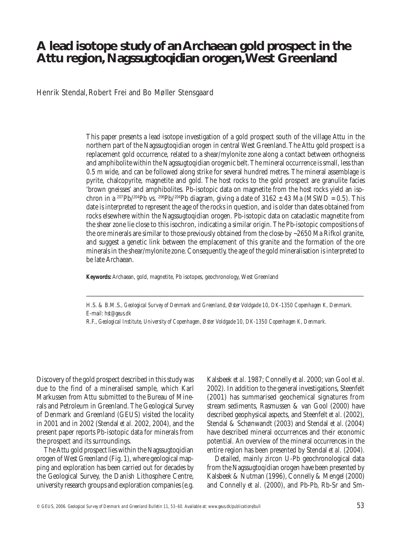# **A lead isotope study of an Archaean gold prospect in the Attu region, Nagssugtoqidian orogen, West Greenland**

Henrik Stendal, Robert Frei and Bo Møller Stensgaard

This paper presents a lead isotope investigation of a gold prospect south of the village Attu in the northern part of the Nagssugtoqidian orogen in central West Greenland. The Attu gold prospect is a replacement gold occurrence, related to a shear/mylonite zone along a contact between orthogneiss and amphibolite within the Nagssugtoqidian orogenic belt. The mineral occurrence is small, less than 0.5 m wide, and can be followed along strike for several hundred metres. The mineral assemblage is pyrite, chalcopyrite, magnetite and gold. The host rocks to the gold prospect are granulite facies 'brown gneisses' and amphibolites. Pb-isotopic data on magnetite from the host rocks yield an isochron in a <sup>207</sup>Pb/<sup>204</sup>Pb vs. <sup>206</sup>Pb/<sup>204</sup>Pb diagram, giving a date of 3162  $\pm$  43 Ma (MSWD = 0.5). This date is interpreted to represent the age of the rocks in question, and is older than dates obtained from rocks elsewhere within the Nagssugtoqidian orogen. Pb-isotopic data on cataclastic magnetite from the shear zone lie close to this isochron, indicating a similar origin. The Pb-isotopic compositions of the ore minerals are similar to those previously obtained from the close-by ~2650 Ma Rifkol granite, and suggest a genetic link between the emplacement of this granite and the formation of the ore minerals in the shear/mylonite zone. Consequently, the age of the gold mineralisation is interpreted to be late Archaean.

**Keywords:** Archaean, gold, magnetite, Pb isotopes, geochronology, West Greenland

H.S. & B.M.S*., Geological Survey of Denmark and Greenland, Øster Voldgade 10, DK-1350 Copenhagen K, Denmark.* E-mail: *hst@geus.dk*

\_\_\_\_\_\_\_\_\_\_\_\_\_\_\_\_\_\_\_\_\_\_\_\_\_\_\_\_\_\_\_\_\_\_\_\_\_\_\_\_\_\_\_\_\_\_\_\_\_\_\_\_\_\_\_\_\_\_\_\_\_\_\_\_\_\_\_\_\_\_\_\_\_\_\_\_\_\_\_\_\_\_\_\_\_\_\_\_\_\_\_\_\_\_\_\_\_\_\_\_\_\_\_\_\_\_\_\_\_\_\_\_\_\_\_\_\_\_\_\_\_\_\_\_\_\_\_\_\_\_\_\_\_\_\_\_\_\_\_\_\_\_\_\_\_\_\_\_\_\_\_\_\_\_\_\_\_\_\_\_\_\_\_\_\_\_\_\_\_\_\_\_\_\_\_\_\_\_\_\_\_\_\_\_

R.F., *Geological Institute, University of Copenhagen, Øster Voldgade 10, DK-1350 Copenhagen K, Denmark.*

Discovery of the gold prospect described in this study was due to the find of a mineralised sample, which Karl Markussen from Attu submitted to the Bureau of Minerals and Petroleum in Greenland. The Geological Survey of Denmark and Greenland (GEUS) visited the locality in 2001 and in 2002 (Stendal *et al.* 2002, 2004), and the present paper reports Pb-isotopic data for minerals from the prospect and its surroundings.

The Attu gold prospect lies within the Nagssugtoqidian orogen of West Greenland (Fig. 1), where geological mapping and exploration has been carried out for decades by the Geological Survey, the Danish Lithosphere Centre, university research groups and exploration companies (e.g. Kalsbeek *et al.* 1987; Connelly *et al.* 2000; van Gool *et al.* 2002). In addition to the general investigations, Steenfelt (2001) has summarised geochemical signatures from stream sediments, Rasmussen & van Gool (2000) have described geophysical aspects, and Steenfelt *et al.* (2002), Stendal & Schønwandt (2003) and Stendal *et al.* (2004) have described mineral occurrences and their economic potential. An overview of the mineral occurrences in the entire region has been presented by Stendal *et al.* (2004).

Detailed, mainly zircon U-Pb geochronological data from the Nagssugtoqidian orogen have been presented by Kalsbeek & Nutman (1996), Connelly & Mengel (2000) and Connelly *et al.* (2000), and Pb-Pb, Rb-Sr and Sm-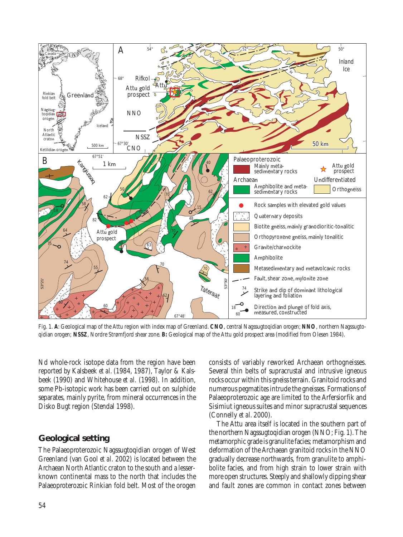

Fig. 1. **A**: Geological map of the Attu region with index map of Greenland. **CNO**, central Nagssugtoqidian orogen; **NNO**, northern Nagssugtoqidian orogen; **NSSZ**, Nordre Strømfjord shear zone. **B:** Geological map of the Attu gold prospect area (modified from Olesen 1984).

Nd whole-rock isotope data from the region have been reported by Kalsbeek *et al.* (1984, 1987), Taylor & Kalsbeek (1990) and Whitehouse *et al.* (1998). In addition, some Pb-isotopic work has been carried out on sulphide separates, mainly pyrite, from mineral occurrences in the Disko Bugt region (Stendal 1998).

## **Geological setting**

The Palaeoproterozoic Nagssugtoqidian orogen of West Greenland (van Gool *et al*. 2002) is located between the Archaean North Atlantic craton to the south and a lesserknown continental mass to the north that includes the Palaeoproterozoic Rinkian fold belt. Most of the orogen consists of variably reworked Archaean orthogneisses. Several thin belts of supracrustal and intrusive igneous rocks occur within this gneiss terrain. Granitoid rocks and numerous pegmatites intrude the gneisses. Formations of Palaeoproterozoic age are limited to the Arfersiorfik and Sisimiut igneous suites and minor supracrustal sequences (Connelly *et al.* 2000).

The Attu area itself is located in the southern part of the northern Nagssugtoqidian orogen (NNO; Fig. 1). The metamorphic grade is granulite facies; metamorphism and deformation of the Archaean granitoid rocks in the NNO gradually decrease northwards, from granulite to amphibolite facies, and from high strain to lower strain with more open structures. Steeply and shallowly dipping shear and fault zones are common in contact zones between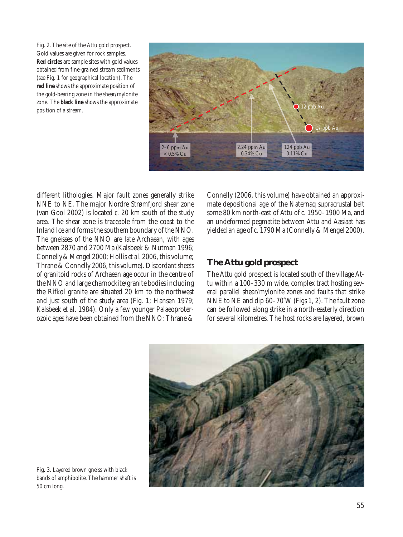Fig. 2. The site of the Attu gold prospect. Gold values are given for rock samples. **Red circles** are sample sites with gold values obtained from fine-grained stream sediments (see Fig. 1 for geographical location). The **red line** shows the approximate position of the gold-bearing zone in the shear/mylonite zone. The **black line** shows the approximate position of a stream.



different lithologies. Major fault zones generally strike NNE to NE. The major Nordre Strømfjord shear zone (van Gool 2002) is located *c.* 20 km south of the study area. The shear zone is traceable from the coast to the Inland Ice and forms the southern boundary of the NNO. The gneisses of the NNO are late Archaean, with ages between 2870 and 2700 Ma (Kalsbeek & Nutman 1996; Connelly&Mengel 2000; Hollis *et al.* 2006, this volume; Thrane & Connelly 2006, this volume). Discordant sheets of granitoid rocks of Archaean age occur in the centre of the NNO and large charnockite/granite bodies including the Rifkol granite are situated 20 km to the northwest and just south of the study area (Fig. 1; Hansen 1979; Kalsbeek *et al.* 1984). Only a few younger Palaeoproterozoic ages have been obtained from the NNO: Thrane &

Connelly (2006, this volume) have obtained an approximate depositional age of the Naternaq supracrustal belt some 80 km north-east of Attu of *c.* 1950–1900 Ma, and an undeformed pegmatite between Attu and Aasiaat has yielded an age of *c.* 1790 Ma (Connelly & Mengel 2000).

## **The Attu gold prospect**

The Attu gold prospect is located south of the village Attu within a 100–330 m wide, complex tract hosting several parallel shear/mylonite zones and faults that strike NNE to NE and dip 60–70° W (Figs 1, 2). The fault zone can be followed along strike in a north-easterly direction for several kilometres. The host rocks are layered, brown



Fig. 3. Layered brown gneiss with black bands of amphibolite. The hammer shaft is 50 cm long.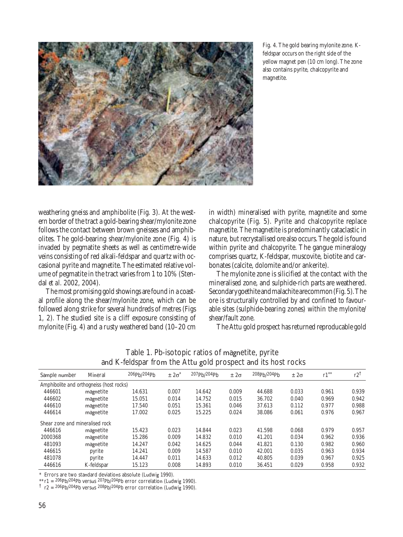

Fig. 4. The gold bearing mylonite zone. Kfeldspar occurs on the right side of the yellow magnet pen (10 cm long). The zone also contains pyrite, chalcopyrite and magnetite.

weathering gneiss and amphibolite (Fig. 3). At the western border of the tract a gold-bearing shear/mylonite zone follows the contact between brown gneisses and amphibolites. The gold-bearing shear/mylonite zone (Fig. 4) is invaded by pegmatite sheets as well as centimetre-wide veins consisting of red alkali-feldspar and quartz with occasional pyrite and magnetite. The estimated relative volume of pegmatite in the tract varies from 1 to 10% (Stendal *et al.* 2002, 2004).

The most promising gold showings are found in a coastal profile along the shear/mylonite zone, which can be followed along strike for several hundreds of metres (Figs 1, 2). The studied site is a cliff exposure consisting of mylonite (Fig. 4) and a rusty weathered band (10–20 cm

in width) mineralised with pyrite, magnetite and some chalcopyrite (Fig. 5). Pyrite and chalcopyrite replace magnetite. The magnetite is predominantly cataclastic in nature, but recrystallised ore also occurs. The gold is found within pyrite and chalcopyrite. The gangue mineralogy comprises quartz, K-feldspar, muscovite, biotite and carbonates (calcite, dolomite and/or ankerite).

The mylonite zone is silicified at the contact with the mineralised zone, and sulphide-rich parts are weathered. Secondarygoethite andmalachite arecommon(Fig. 5).The ore is structurally controlled by and confined to favourable sites (sulphide-bearing zones) within the mylonite/ shear/fault zone.

The Attu gold prospect has returned reproducable gold

|                                          |            |             |               | ပ                                    |               |             |               |         |                |
|------------------------------------------|------------|-------------|---------------|--------------------------------------|---------------|-------------|---------------|---------|----------------|
| Sample number                            | Mineral    | 206ph/204ph | $\pm 2\sigma$ | 207 <sub>Pb</sub> /204 <sub>Pb</sub> | $\pm 2\sigma$ | 208pb/204pb | $\pm 2\sigma$ | $r1***$ | $r2^{\dagger}$ |
| Amphibolite and orthogneiss (host rocks) |            |             |               |                                      |               |             |               |         |                |
| 446601                                   | magnetite  | 14.631      | 0.007         | 14.642                               | 0.009         | 44.688      | 0.033         | 0.961   | 0.939          |
| 446602                                   | magnetite  | 15.051      | 0.014         | 14.752                               | 0.015         | 36.702      | 0.040         | 0.969   | 0.942          |
| 446610                                   | magnetite  | 17.540      | 0.051         | 15.361                               | 0.046         | 37.613      | 0.112         | 0.977   | 0.988          |
| 446614                                   | magnetite  | 17.002      | 0.025         | 15.225                               | 0.024         | 38.086      | 0.061         | 0.976   | 0.967          |
| Shear zone and mineralised rock          |            |             |               |                                      |               |             |               |         |                |
| 446616                                   | magnetite  | 15.423      | 0.023         | 14.844                               | 0.023         | 41.598      | 0.068         | 0.979   | 0.957          |
| 2000368                                  | magnetite  | 15.286      | 0.009         | 14.832                               | 0.010         | 41.201      | 0.034         | 0.962   | 0.936          |
| 481093                                   | magnetite  | 14.247      | 0.042         | 14.625                               | 0.044         | 41.821      | 0.130         | 0.982   | 0.960          |
| 446615                                   | pyrite     | 14.241      | 0.009         | 14.587                               | 0.010         | 42.001      | 0.035         | 0.963   | 0.934          |
| 481078                                   | pyrite     | 14.447      | 0.011         | 14.633                               | 0.012         | 40.805      | 0.039         | 0.967   | 0.925          |
| 446616                                   | K-feldspar | 15.123      | 0.008         | 14.893                               | 0.010         | 36.451      | 0.029         | 0.958   | 0.932          |

Table 1. Pb-isotopic ratios of magnetite, pyrite and K-feldspar from the Attu gold prospect and its host rocks

\* Errors are two standard deviations absolute (Ludwig 1990).

\*\*  $r1 = 206Pb/204Pb$  versus  $207Pb/204Pb$  error correlation (Ludwig 1990).

 $\frac{1}{2}$  r2 = 206Pb/204Pb versus 208Pb/204Pb error correlation (Ludwig 1990).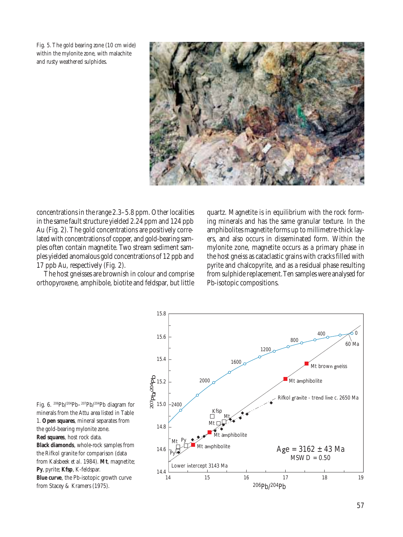Fig. 5. The gold bearing zone (10 cm wide) within the mylonite zone, with malachite and rusty weathered sulphides.



concentrations in the range 2.3–5.8 ppm. Other localities in the same fault structure yielded 2.24 ppm and 124 ppb Au (Fig. 2). The gold concentrations are positively correlated with concentrations of copper, and gold-bearing samples often contain magnetite. Two stream sediment samples yielded anomalous gold concentrations of 12 ppb and 17 ppb Au, respectively (Fig. 2).

The host gneisses are brownish in colour and comprise orthopyroxene, amphibole, biotite and feldspar, but little quartz. Magnetite is in equilibrium with the rock forming minerals and has the same granular texture. In the amphibolites magnetite forms up to millimetre-thick layers, and also occurs in disseminated form. Within the mylonite zone, magnetite occurs as a primary phase in the host gneiss as cataclastic grains with cracks filled with pyrite and chalcopyrite, and as a residual phase resulting from sulphide replacement. Ten samples were analysed for Pb-isotopic compositions.



Fig. 6. 206Pb/204Pb–207Pb/204Pb diagram for minerals from the Attu area listed in Table 1. **Open squares**, mineral separates from the gold-bearing mylonite zone. **Red squares**, host rock data. **Black diamonds**, whole-rock samples from the Rifkol granite for comparison (data from Kalsbeek *et al.* 1984). **Mt**, magnetite; **Py**, pyrite; **Kfsp**, K-feldspar. **Blue curve**, the Pb-isotopic growth curve from Stacey & Kramers (1975).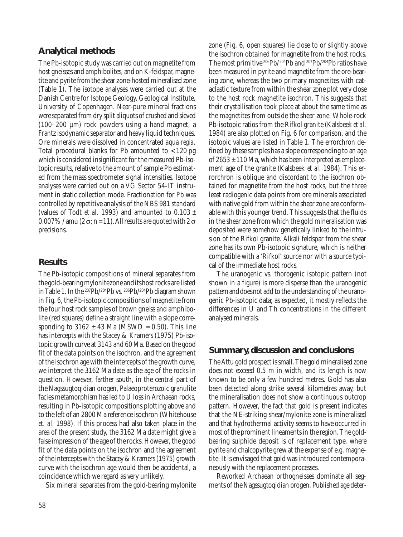### **Analytical methods**

The Pb-isotopic study was carried out on magnetite from host gneisses and amphibolites, and on K-feldspar, magnetite and pyrite from the shear zone-hosted mineralised zone (Table 1). The isotope analyses were carried out at the Danish Centre for Isotope Geology, Geological Institute, University of Copenhagen. Near-pure mineral fractions were separated from dry split aliquots of crushed and sieved (100–200  $\mu$ m) rock powders using a hand magnet, a Frantz isodynamic separator and heavy liquid techniques. Ore minerals were dissolved in concentrated *aqua regia*. Total procedural blanks for Pb amounted to < 120 pg which is considered insignificant for the measured Pb-isotopic results, relative to the amount of sample Pb estimated from the mass spectrometer signal intensities. Isotope analyses were carried out on a VG Sector 54-IT instrument in static collection mode. Fractionation for Pb was controlled by repetitive analysis of the NBS 981 standard (values of Todt *et al.* 1993) and amounted to  $0.103 \pm$ 0.007% / amu (2  $\sigma$ ; n = 11). All results are quoted with 2  $\sigma$ precisions.

#### **Results**

The Pb-isotopic compositions of mineral separates from thegold-bearingmylonitezone anditshost rocks are listed in Table 1. In the 207Pb/204Pb vs. 206Pb/204Pb diagram shown in Fig. 6, the Pb-isotopic compositions of magnetite from the four host rock samples of brown gneiss and amphibolite (red squares) define a straight line with a slope corresponding to  $3162 \pm 43$  Ma (MSWD = 0.50). This line has intercepts with the Stacey & Kramers (1975) Pb-isotopic growth curve at 3143 and 60 Ma. Based on the good fit of the data points on the isochron, and the agreement of the isochron age with the intercepts of the growth curve, we interpret the 3162 Ma date as the age of the rocks in question. However, farther south, in the central part of the Nagssugtoqidian orogen, Palaeoproterozoic granulite facies metamorphism has led to U loss in Archaean rocks, resulting in Pb-isotopic compositions plotting above and to the left of an 2800 Ma reference isochron (Whitehouse *et. al.* 1998). If this process had also taken place in the area of the present study, the 3162 Ma date might give a false impression of the age of the rocks. However, the good fit of the data points on the isochron and the agreement of the intercepts with the Stacey & Kramers (1975) growth curve with the isochron age would then be accidental, a coincidence which we regard as very unlikely.

Six mineral separates from the gold-bearing mylonite

zone (Fig. 6, open squares) lie close to or slightly above the isochron obtained for magnetite from the host rocks. The most primitive 206Pb/204Pb and 207Pb/204Pb ratios have been measured in pyrite and magnetite from the ore-bearing zone, whereas the two primary magnetites with cataclastic texture from within the shear zone plot very close to the host rock magnetite isochron. This suggests that their crystallisation took place at about the same time as the magnetites from outside the shear zone. Whole-rock Pb-isotopic ratios from the Rifkol granite (Kalsbeek *et al.* 1984) are also plotted on Fig. 6 for comparison, and the isotopic values are listed in Table 1. The errorchron defined by these samples has a slope corresponding to an age of  $2653 \pm 110$  Ma, which has been interpreted as emplacement age of the granite (Kalsbeek *et al*. 1984). This errorchron is oblique and discordant to the isochron obtained for magnetite from the host rocks, but the three least radiogenic data points from ore minerals associated with native gold from within the shear zone are conformable with this younger trend. This suggests that the fluids in the shear zone from which the gold mineralisation was deposited were somehow genetically linked to the intrusion of the Rifkol granite. Alkali feldspar from the shear zone has its own Pb-isotopic signature, which is neither compatible with a 'Rifkol' source nor with a source typical of the immediate host rocks.

The uranogenic vs. thorogenic isotopic pattern (not shown in a figure) is more disperse than the uranogenic patternanddoesnot add to the understanding of the uranogenic Pb-isotopic data; as expected, it mostly reflects the differences in U and Th concentrations in the different analysed minerals.

#### **Summary, discussion and conclusions**

The Attu gold prospect is small. The gold mineralised zone does not exceed 0.5 m in width, and its length is now known to be only a few hundred metres. Gold has also been detected along strike several kilometres away, but the mineralisation does not show a continuous outcrop pattern. However, the fact that gold is present indicates that the NE-striking shear/mylonite zone is mineralised and that hydrothermal activity seems to have occurred in most of the prominent lineaments in the region. The goldbearing sulphide deposit is of replacement type, where pyrite and chalcopyrite grew at the expense of e.g. magnetite. It is envisaged that gold was introduced contemporaneously with the replacement processes.

Reworked Archaean orthogneisses dominate all segments of the Nagssugtoqidian orogen. Published age deter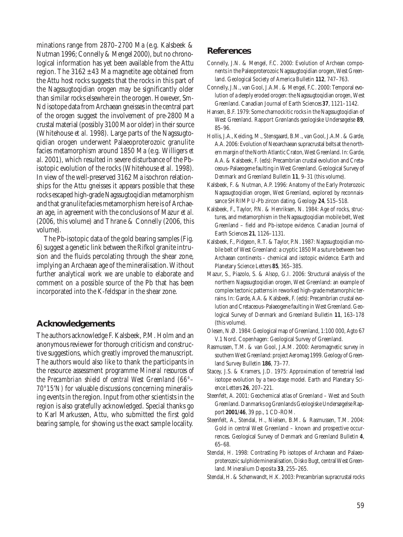minations range from 2870–2700 Ma (e.g. Kalsbeek & Nutman 1996; Connelly & Mengel 2000), but no chronological information has yet been available from the Attu region. The  $3162 \pm 43$  Ma magnetite age obtained from the Attu host rocks suggests that the rocks in this part of the Nagssugtoqidian orogen may be significantly older than similar rocks elsewhere in the orogen. However, Sm-Nd isotope data from Archaean gneisses in the central part of the orogen suggest the involvement of pre-2800 Ma crustal material (possibly 3100 Ma or older) in their source (Whitehouse *et al.* 1998). Large parts of the Nagssugtoqidian orogen underwent Palaeoproterozoic granulite facies metamorphism around 1850 Ma (e.g. Willigers *et al*. 2001), which resulted in severe disturbance of the Pbisotopic evolution of the rocks (Whitehouse *et al.* 1998). In view of the well-preserved 3162 Ma isochron relationships for the Attu gneisses it appears possible that these rocks escaped high-grade Nagssugtoqidian metamorphism and that granulite facies metamorphism here is of Archaean age, in agreement with the conclusions of Mazur *et al.* (2006, this volume) and Thrane & Connelly (2006, this volume).

The Pb-isotopic data of the gold bearing samples (Fig. 6) suggest a genetic link between the Rifkol granite intrusion and the fluids percolating through the shear zone, implying an Archaean age of the mineralisation. Without further analytical work we are unable to elaborate and comment on a possible source of the Pb that has been incorporated into the K-feldspar in the shear zone.

#### **Acknowledgements**

The authors acknowledge F. Kalsbeek, P.M. Holm and an anonymous reviewer for thorough criticism and constructive suggestions, which greatly improved the manuscript. The authors would also like to thank the participants in the resource assessment programme *Mineral resources of the Precambrian shield of central West Greenland (66°– 70°15*′*N)* for valuable discussions concerning mineralising events in the region. Input from other scientists in the region is also gratefully acknowledged. Special thanks go to Karl Markussen, Attu, who submitted the first gold bearing sample, for showing us the exact sample locality.

#### **References**

- Connelly, J.N. & Mengel, F.C. 2000: Evolution of Archean components in the Paleoproterozoic Nagssugtoqidian orogen, West Greenland. Geological Society of America Bulletin **112**, 747–763.
- Connelly, J.N., van Gool, J.A.M. & Mengel, F.C. 2000: Temporal evolution of a deeply eroded orogen: the Nagssugtoqidian orogen, West Greenland. Canadian Journal of Earth Sciences **37**, 1121–1142.
- Hansen, B.F. 1979: Some charnockitic rocks in the Nagssugtoqidian of West Greenland. Rapport Grønlands geologiske Undersøgelse **89**, 85–96.
- Hollis, J.A., Keiding, M., Stensgaard, B.M., van Gool, J.A.M. & Garde, A.A. 2006: Evolution of Neoarchaean supracrustal belts at the northern margin of the North Atlantic Craton, West Greenland. In: Garde, A.A. & Kalsbeek, F. (eds): Precambrian crustal evolution and Cretaceous–Palaeogene faulting in West Greenland. Geological Survey of Denmark and Greenland Bulletin **11**, 9–31 (this volume).
- Kalsbeek, F. & Nutman, A.P. 1996: Anatomy of the Early Proterozoic Nagssugtoqidian orogen, West Greenland, explored by reconnaissance SHRIMP U-Pb zircon dating. Geology **24**, 515–518.
- Kalsbeek, F., Taylor, P.N. & Henriksen, N. 1984: Age of rocks, structures, and metamorphism in the Nagssugtoqidian mobile belt, West Greenland – field and Pb-isotope evidence. Canadian Journal of Earth Sciences **21**, 1126–1131.
- Kalsbeek, F., Pidgeon, R.T. & Taylor, P.N. 1987: Nagssugtoqidian mobile belt of West Greenland: a cryptic 1850 Ma suture between two Archaean continents – chemical and isotopic evidence. Earth and Planetary Science Letters **85**, 365–385.
- Mazur, S., Piazolo, S. & Alsop, G.I. 2006: Structural analysis of the northern Nagssugtoqidian orogen, West Greenland: an example of complex tectonic patterns in reworked high-grade metamorphic terrains. In: Garde, A.A. & Kalsbeek, F. (eds): Precambrian crustal evolution and Cretaceous–Palaeogene faulting in West Greenland. Geological Survey of Denmark and Greenland Bulletin **11**, 163–178 (this volume).
- Olesen, N.Ø. 1984: Geological map of Greenland, 1:100 000, Agto 67 V.1 Nord. Copenhagen: Geological Survey of Greenland.
- Rasmussen, T.M. & van Gool, J.A.M. 2000: Aeromagnetic survey in southern West Greenland: project Aeromag 1999. Geology of Greenland Survey Bulletin **186**, 73–77.
- Stacey, J.S. & Kramers, J.D. 1975: Approximation of terrestrial lead isotope evolution by a two-stage model. Earth and Planetary Science Letters **26**, 207–221.
- Steenfelt, A. 2001: Geochemical atlas of Greenland West and South Greenland. Danmarks og Grønlands Geologiske Undersøgelse Rapport **2001/46**, 39 pp., 1 CD-ROM.
- Steenfelt, A., Stendal, H., Nielsen, B.M. & Rasmussen, T.M. 2004: Gold in central West Greenland – known and prospective occurrences. Geological Survey of Denmark and Greenland Bulletin **4**, 65–68.
- Stendal, H. 1998: Contrasting Pb isotopes of Archaean and Palaeoproterozoic sulphide mineralisation, Disko Bugt, central West Greenland. Mineralium Deposita **33**, 255–265.
- Stendal, H. & Schønwandt, H.K. 2003: Precambrian supracrustal rocks